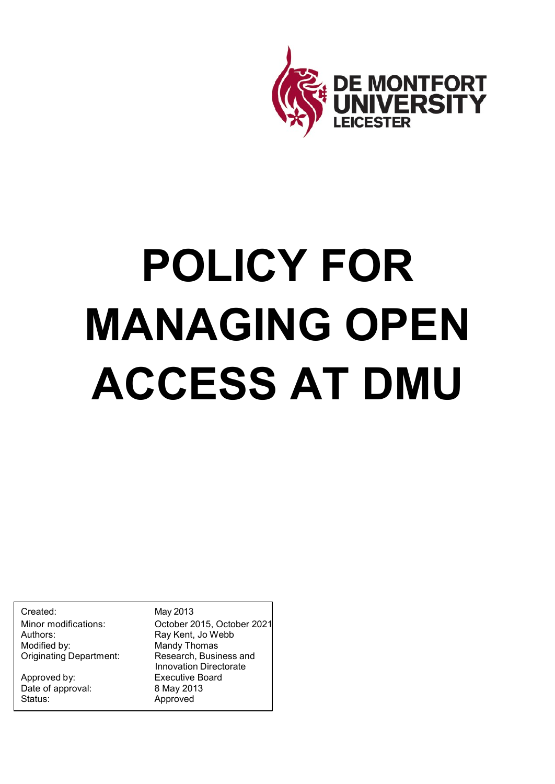

# **POLICY FOR MANAGING OPEN ACCESS AT DMU**

Created: May 2013 Authors: Ray Kent, Jo Webb **Originating Department:** 

Approved by: Executive Board Date of approval: 8 May 2013 Status: Approved

Minor modifications: October 2015, October 2021 Mandy Thomas<br>Research, Business and Innovation Directorate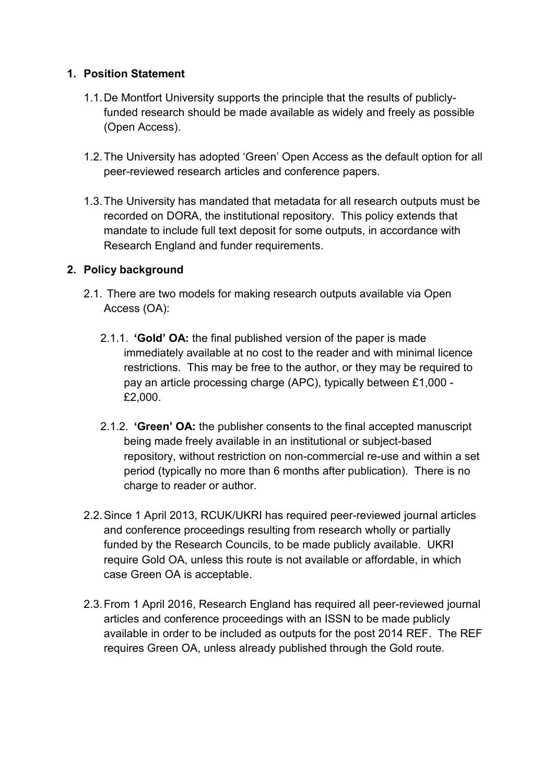#### **1. Position Statement**

- 1.1.De Montfort University supports the principle that the results of publiclyfunded research should be made available as widely and freely as possible (Open Access).
- 1.2.The University has adopted 'Green' Open Access as the default option for all peer-reviewed research articles and conference papers.
- 1.3.The University has mandated that metadata for all research outputs must be recorded on DORA, the institutional repository. This policy extends that mandate to include full text deposit for some outputs, in accordance with Research England and funder requirements.

### **2. Policy background**

- 2.1. There are two models for making research outputs available via Open Access (OA):
	- 2.1.1. **'Gold' OA:** the final published version of the paper is made immediately available at no cost to the reader and with minimal licence restrictions. This may be free to the author, or they may be required to pay an article processing charge (APC), typically between £1,000 - £2,000.
	- 2.1.2. **'Green' OA:** the publisher consents to the final accepted manuscript being made freely available in an institutional or subject-based repository, without restriction on non-commercial re-use and within a set period (typically no more than 6 months after publication). There is no charge to reader or author.
- 2.2.Since 1 April 2013, RCUK/UKRI has required peer-reviewed journal articles and conference proceedings resulting from research wholly or partially funded by the Research Councils, to be made publicly available. UKRI require Gold OA, unless this route is not available or affordable, in which case Green OA is acceptable.
- 2.3.From 1 April 2016, Research England has required all peer-reviewed journal articles and conference proceedings with an ISSN to be made publicly available in order to be included as outputs for the post 2014 REF. The REF requires Green OA, unless already published through the Gold route.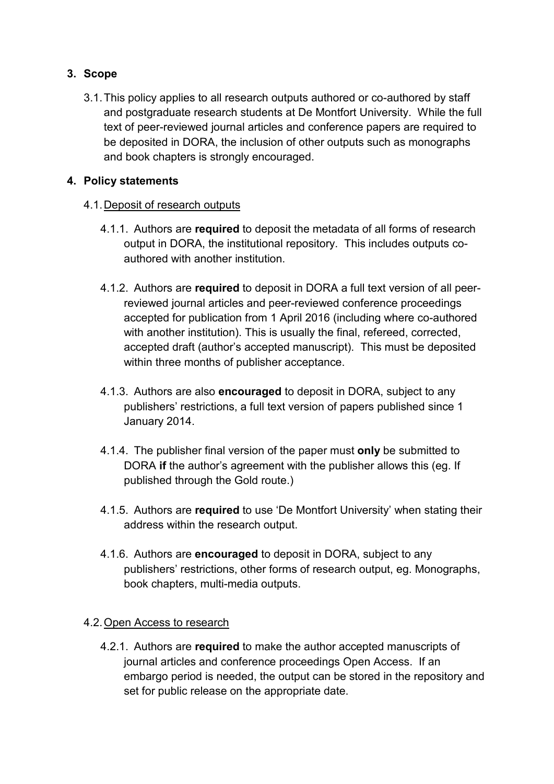### **3. Scope**

3.1.This policy applies to all research outputs authored or co-authored by staff and postgraduate research students at De Montfort University. While the full text of peer-reviewed journal articles and conference papers are required to be deposited in DORA, the inclusion of other outputs such as monographs and book chapters is strongly encouraged.

#### **4. Policy statements**

### 4.1.Deposit of research outputs

- 4.1.1. Authors are **required** to deposit the metadata of all forms of research output in DORA, the institutional repository. This includes outputs coauthored with another institution.
- 4.1.2. Authors are **required** to deposit in DORA a full text version of all peerreviewed journal articles and peer-reviewed conference proceedings accepted for publication from 1 April 2016 (including where co-authored with another institution). This is usually the final, refereed, corrected, accepted draft (author's accepted manuscript). This must be deposited within three months of publisher acceptance.
- 4.1.3. Authors are also **encouraged** to deposit in DORA, subject to any publishers' restrictions, a full text version of papers published since 1 January 2014.
- 4.1.4. The publisher final version of the paper must **only** be submitted to DORA **if** the author's agreement with the publisher allows this (eg. If published through the Gold route.)
- 4.1.5. Authors are **required** to use 'De Montfort University' when stating their address within the research output.
- 4.1.6. Authors are **encouraged** to deposit in DORA, subject to any publishers' restrictions, other forms of research output, eg. Monographs, book chapters, multi-media outputs.

#### 4.2.Open Access to research

4.2.1. Authors are **required** to make the author accepted manuscripts of journal articles and conference proceedings Open Access. If an embargo period is needed, the output can be stored in the repository and set for public release on the appropriate date.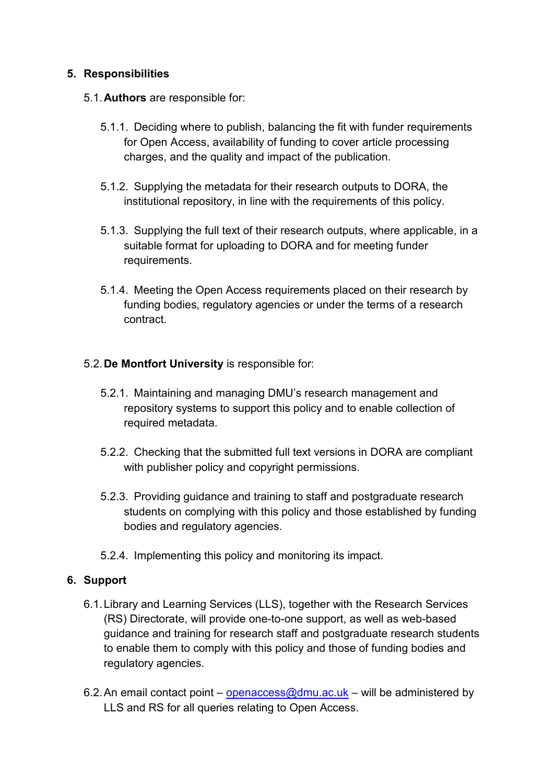#### **5. Responsibilities**

- 5.1.**Authors** are responsible for:
	- 5.1.1. Deciding where to publish, balancing the fit with funder requirements for Open Access, availability of funding to cover article processing charges, and the quality and impact of the publication.
	- 5.1.2. Supplying the metadata for their research outputs to DORA, the institutional repository, in line with the requirements of this policy.
	- 5.1.3. Supplying the full text of their research outputs, where applicable, in a suitable format for uploading to DORA and for meeting funder requirements.
	- 5.1.4. Meeting the Open Access requirements placed on their research by funding bodies, regulatory agencies or under the terms of a research contract.

#### 5.2.**De Montfort University** is responsible for:

- 5.2.1. Maintaining and managing DMU's research management and repository systems to support this policy and to enable collection of required metadata.
- 5.2.2. Checking that the submitted full text versions in DORA are compliant with publisher policy and copyright permissions.
- 5.2.3. Providing guidance and training to staff and postgraduate research students on complying with this policy and those established by funding bodies and regulatory agencies.
- 5.2.4. Implementing this policy and monitoring its impact.

#### **6. Support**

- 6.1.Library and Learning Services (LLS), together with the Research Services (RS) Directorate, will provide one-to-one support, as well as web-based guidance and training for research staff and postgraduate research students to enable them to comply with this policy and those of funding bodies and regulatory agencies.
- 6.2. An email contact point [openaccess@dmu.ac.uk](mailto:openaccess@dmu.ac.uk) will be administered by LLS and RS for all queries relating to Open Access.